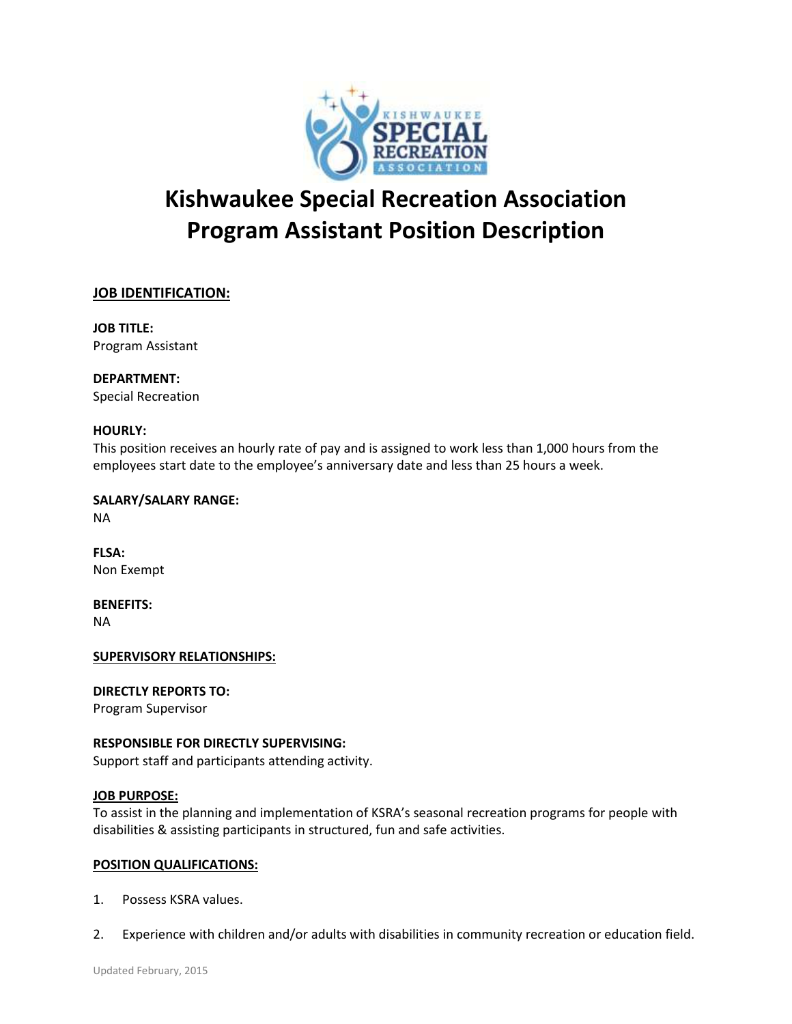

# **Kishwaukee Special Recreation Association Program Assistant Position Description**

# **JOB IDENTIFICATION:**

**JOB TITLE:** Program Assistant

**DEPARTMENT:** Special Recreation

# **HOURLY:**

This position receives an hourly rate of pay and is assigned to work less than 1,000 hours from the employees start date to the employee's anniversary date and less than 25 hours a week.

**SALARY/SALARY RANGE:** NA

**FLSA:** Non Exempt

**BENEFITS:** NA

# **SUPERVISORY RELATIONSHIPS:**

**DIRECTLY REPORTS TO:**

Program Supervisor

# **RESPONSIBLE FOR DIRECTLY SUPERVISING:**

Support staff and participants attending activity.

# **JOB PURPOSE:**

To assist in the planning and implementation of KSRA's seasonal recreation programs for people with disabilities & assisting participants in structured, fun and safe activities.

# **POSITION QUALIFICATIONS:**

- 1. Possess KSRA values.
- 2. Experience with children and/or adults with disabilities in community recreation or education field.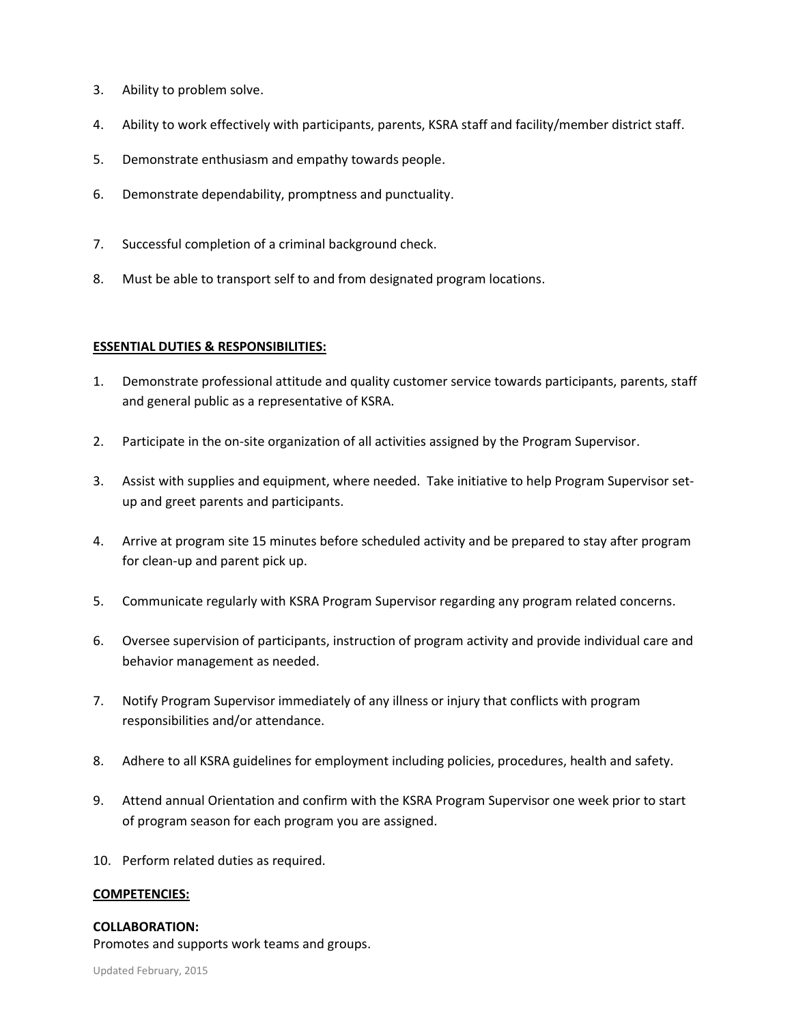- 3. Ability to problem solve.
- 4. Ability to work effectively with participants, parents, KSRA staff and facility/member district staff.
- 5. Demonstrate enthusiasm and empathy towards people.
- 6. Demonstrate dependability, promptness and punctuality.
- 7. Successful completion of a criminal background check.
- 8. Must be able to transport self to and from designated program locations.

## **ESSENTIAL DUTIES & RESPONSIBILITIES:**

- 1. Demonstrate professional attitude and quality customer service towards participants, parents, staff and general public as a representative of KSRA.
- 2. Participate in the on-site organization of all activities assigned by the Program Supervisor.
- 3. Assist with supplies and equipment, where needed. Take initiative to help Program Supervisor setup and greet parents and participants.
- 4. Arrive at program site 15 minutes before scheduled activity and be prepared to stay after program for clean-up and parent pick up.
- 5. Communicate regularly with KSRA Program Supervisor regarding any program related concerns.
- 6. Oversee supervision of participants, instruction of program activity and provide individual care and behavior management as needed.
- 7. Notify Program Supervisor immediately of any illness or injury that conflicts with program responsibilities and/or attendance.
- 8. Adhere to all KSRA guidelines for employment including policies, procedures, health and safety.
- 9. Attend annual Orientation and confirm with the KSRA Program Supervisor one week prior to start of program season for each program you are assigned.
- 10. Perform related duties as required.

#### **COMPETENCIES:**

# **COLLABORATION:**

Promotes and supports work teams and groups.